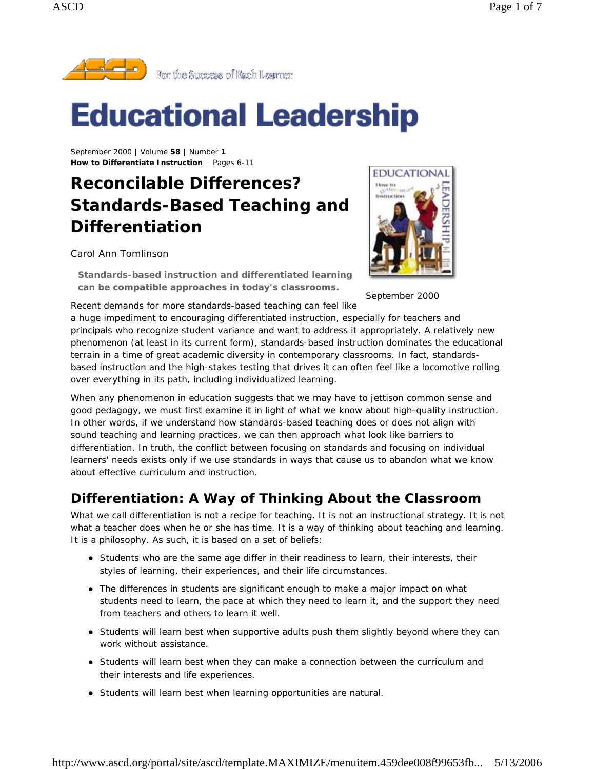

# **Educational Leadership**

September 2000 | Volume **58** | Number **1 How to Differentiate Instruction** Pages 6-11

# **Reconcilable Differences? Standards-Based Teaching and Differentiation**

*Carol Ann Tomlinson* 

**Standards-based instruction and differentiated learning can be compatible approaches in today's classrooms.** 



September 2000

Recent demands for more standards-based teaching can feel like

a huge impediment to encouraging differentiated instruction, especially for teachers and principals who recognize student variance and want to address it appropriately. A relatively new phenomenon (at least in its current form), standards-based instruction dominates the educational terrain in a time of great academic diversity in contemporary classrooms. In fact, standardsbased instruction and the high-stakes testing that drives it can often feel like a locomotive rolling over everything in its path, including individualized learning.

When any phenomenon in education suggests that we may have to jettison common sense and good pedagogy, we must first examine it in light of what we know about high-quality instruction. In other words, if we understand how standards-based teaching does or does not align with sound teaching and learning practices, we can then approach what look like barriers to differentiation. In truth, the conflict between focusing on standards and focusing on individual learners' needs exists only if we use standards in ways that cause us to abandon what we know about effective curriculum and instruction.

## **Differentiation: A Way of Thinking About the Classroom**

What we call *differentiation* is not a recipe for teaching. It is not an instructional strategy. It is not what a teacher does when he or she has time. It is a way of thinking about teaching and learning. It is a philosophy. As such, it is based on a set of beliefs:

- Students who are the same age differ in their readiness to learn, their interests, their styles of learning, their experiences, and their life circumstances.
- The differences in students are significant enough to make a major impact on what students need to learn, the pace at which they need to learn it, and the support they need from teachers and others to learn it well.
- Students will learn best when supportive adults push them slightly beyond where they can work without assistance.
- Students will learn best when they can make a connection between the curriculum and their interests and life experiences.
- Students will learn best when learning opportunities are natural.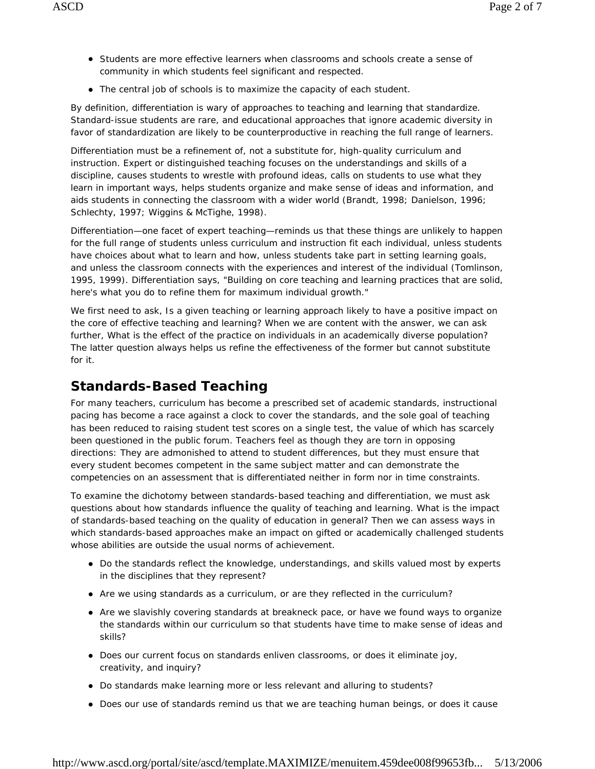- Students are more effective learners when classrooms and schools create a sense of community in which students feel significant and respected.
- The central job of schools is to maximize the capacity of each student.

By definition, differentiation is wary of approaches to teaching and learning that standardize. Standard-issue students are rare, and educational approaches that ignore academic diversity in favor of standardization are likely to be counterproductive in reaching the full range of learners.

Differentiation must be a refinement of, not a substitute for, high-quality curriculum and instruction. Expert or distinguished teaching focuses on the understandings and skills of a discipline, causes students to wrestle with profound ideas, calls on students to use what they learn in important ways, helps students organize and make sense of ideas and information, and aids students in connecting the classroom with a wider world (Brandt, 1998; Danielson, 1996; Schlechty, 1997; Wiggins & McTighe, 1998).

Differentiation—one facet of expert teaching—reminds us that these things are unlikely to happen for the full range of students unless curriculum and instruction fit each individual, unless students have choices about what to learn and how, unless students take part in setting learning goals, and unless the classroom connects with the experiences and interest of the individual (Tomlinson, 1995, 1999). Differentiation says, "Building on core teaching and learning practices that are solid, here's what you do to refine them for maximum individual growth."

We first need to ask, Is a given teaching or learning approach likely to have a positive impact on the core of effective teaching and learning? When we are content with the answer, we can ask further, What is the effect of the practice on individuals in an academically diverse population? The latter question always helps us refine the effectiveness of the former but cannot substitute for it.

#### **Standards-Based Teaching**

For many teachers, curriculum has become a prescribed set of academic standards, instructional pacing has become a race against a clock to cover the standards, and the sole goal of teaching has been reduced to raising student test scores on a single test, the value of which has scarcely been questioned in the public forum. Teachers feel as though they are torn in opposing directions: They are admonished to attend to student differences, but they must ensure that every student becomes competent in the same subject matter and can demonstrate the competencies on an assessment that is differentiated neither in form nor in time constraints.

To examine the dichotomy between standards-based teaching and differentiation, we must ask questions about how standards influence the quality of teaching and learning. What is the impact of standards-based teaching on the quality of education in general? Then we can assess ways in which standards-based approaches make an impact on gifted or academically challenged students whose abilities are outside the usual norms of achievement.

- Do the standards reflect the knowledge, understandings, and skills valued most by experts in the disciplines that they represent?
- Are we using standards as a curriculum, or are they reflected in the curriculum?
- Are we slavishly covering standards at breakneck pace, or have we found ways to organize the standards within our curriculum so that students have time to make sense of ideas and skills?
- Does our current focus on standards enliven classrooms, or does it eliminate joy, creativity, and inquiry?
- Do standards make learning more or less relevant and alluring to students?
- Does our use of standards remind us that we are teaching human beings, or does it cause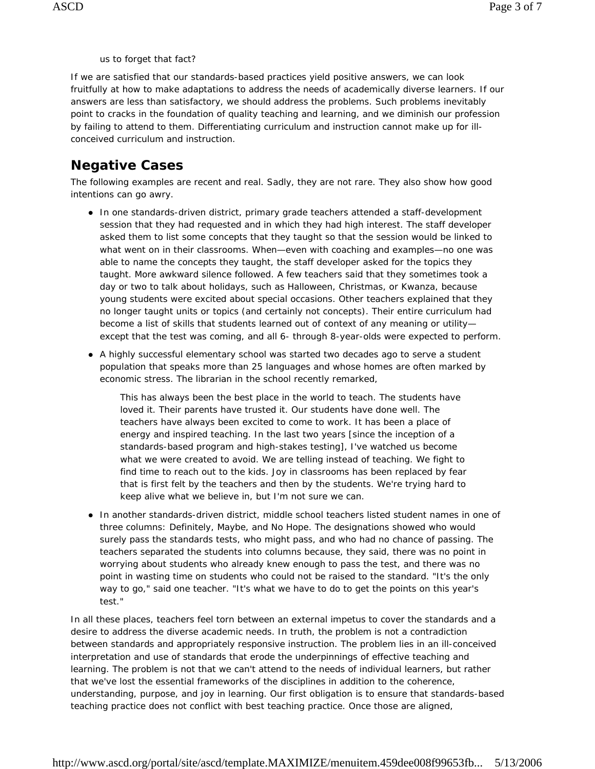us to forget that fact?

If we are satisfied that our standards-based practices yield positive answers, we can look fruitfully at how to make adaptations to address the needs of academically diverse learners. If our answers are less than satisfactory, we should address the problems. Such problems inevitably point to cracks in the foundation of quality teaching and learning, and we diminish our profession by failing to attend to them. Differentiating curriculum and instruction cannot make up for illconceived curriculum and instruction.

### **Negative Cases**

The following examples are recent and real. Sadly, they are not rare. They also show how good intentions can go awry.

- In one standards-driven district, primary grade teachers attended a staff-development session that they had requested and in which they had high interest. The staff developer asked them to list some concepts that they taught so that the session would be linked to what went on in their classrooms. When—even with coaching and examples—no one was able to name the concepts they taught, the staff developer asked for the topics they taught. More awkward silence followed. A few teachers said that they sometimes took a day or two to talk about holidays, such as Halloween, Christmas, or Kwanza, because young students were excited about special occasions. Other teachers explained that they no longer taught units or topics (and certainly not concepts). Their entire curriculum had become a list of skills that students learned out of context of any meaning or utility except that the test was coming, and all 6- through 8-year-olds were expected to perform.
- A highly successful elementary school was started two decades ago to serve a student population that speaks more than 25 languages and whose homes are often marked by economic stress. The librarian in the school recently remarked,

This has always been the best place in the world to teach. The students have loved it. Their parents have trusted it. Our students have done well. The teachers have always been excited to come to work. It has been a place of energy and inspired teaching. In the last two years [since the inception of a standards-based program and high-stakes testing], I've watched us become what we were created to avoid. We are telling instead of teaching. We fight to find time to reach out to the kids. Joy in classrooms has been replaced by fear that is first felt by the teachers and then by the students. We're trying hard to keep alive what we believe in, but I'm not sure we can.

• In another standards-driven district, middle school teachers listed student names in one of three columns: *Definitely*, *Maybe*, and *No Hope*. The designations showed who would surely pass the standards tests, who might pass, and who had no chance of passing. The teachers separated the students into columns because, they said, there was no point in worrying about students who already knew enough to pass the test, and there was no point in wasting time on students who could not be raised to the standard. "It's the only way to go," said one teacher. "It's what we have to do to get the points on this year's test."

In all these places, teachers feel torn between an external impetus to cover the standards and a desire to address the diverse academic needs. In truth, the problem is not a contradiction between standards and appropriately responsive instruction. The problem lies in an ill-conceived interpretation and use of standards that erode the underpinnings of effective teaching and learning. The problem is not that we can't attend to the needs of individual learners, but rather that we've lost the essential frameworks of the disciplines in addition to the coherence, understanding, purpose, and joy in learning. Our first obligation is to ensure that standards-based teaching practice does not conflict with best teaching practice. Once those are aligned,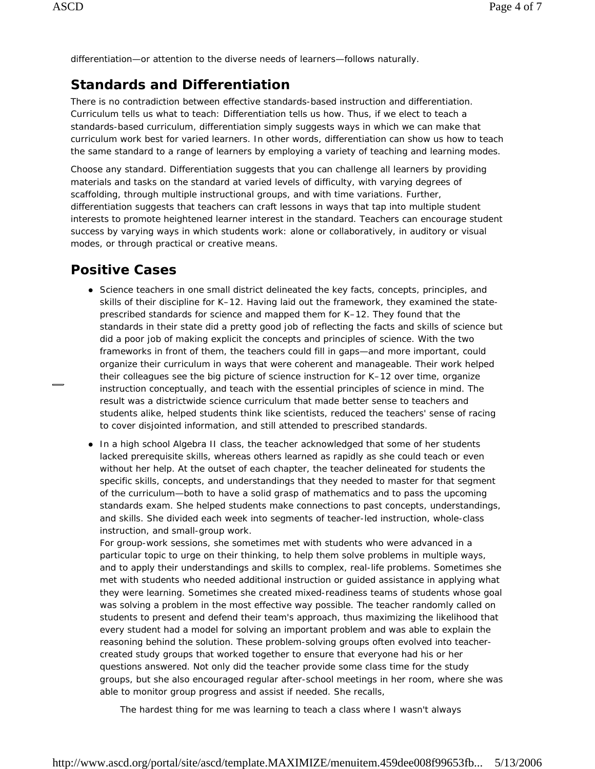differentiation—or attention to the diverse needs of learners—follows naturally.

#### **Standards and Differentiation**

There is no contradiction between effective standards-based instruction and differentiation. Curriculum tells us *what* to teach: Differentiation tells us *how*. Thus, if we elect to teach a standards-based curriculum, differentiation simply suggests ways in which we can make that curriculum work best for varied learners. In other words, differentiation can show us how to teach the same standard to a range of learners by employing a variety of teaching and learning modes.

Choose any standard. Differentiation suggests that you can challenge all learners by providing materials and tasks on the standard at varied levels of difficulty, with varying degrees of scaffolding, through multiple instructional groups, and with time variations. Further, differentiation suggests that teachers can craft lessons in ways that tap into multiple student interests to promote heightened learner interest in the standard. Teachers can encourage student success by varying ways in which students work: alone or collaboratively, in auditory or visual modes, or through practical or creative means.

#### **Positive Cases**

- Science teachers in one small district delineated the key facts, concepts, principles, and skills of their discipline for K–12. Having laid out the framework, they examined the stateprescribed standards for science and mapped them for K–12. They found that the standards in their state did a pretty good job of reflecting the facts and skills of science but did a poor job of making explicit the concepts and principles of science. With the two frameworks in front of them, the teachers could fill in gaps—and more important, could organize their curriculum in ways that were coherent and manageable. Their work helped their colleagues see the big picture of science instruction for K–12 over time, organize instruction conceptually, and teach with the essential principles of science in mind. The result was a districtwide science curriculum that made better sense to teachers and students alike, helped students think like scientists, reduced the teachers' sense of racing to cover disjointed information, and still attended to prescribed standards.
- In a high school Algebra II class, the teacher acknowledged that some of her students lacked prerequisite skills, whereas others learned as rapidly as she could teach or even without her help. At the outset of each chapter, the teacher delineated for students the specific skills, concepts, and understandings that they needed to master for that segment of the curriculum—both to have a solid grasp of mathematics and to pass the upcoming standards exam. She helped students make connections to past concepts, understandings, and skills. She divided each week into segments of teacher-led instruction, whole-class instruction, and small-group work.

For group-work sessions, she sometimes met with students who were advanced in a particular topic to urge on their thinking, to help them solve problems in multiple ways, and to apply their understandings and skills to complex, real-life problems. Sometimes she met with students who needed additional instruction or guided assistance in applying what they were learning. Sometimes she created mixed-readiness teams of students whose goal was solving a problem in the most effective way possible. The teacher randomly called on students to present and defend their team's approach, thus maximizing the likelihood that every student had a model for solving an important problem and was able to explain the reasoning behind the solution. These problem-solving groups often evolved into teachercreated study groups that worked together to ensure that everyone had his or her questions answered. Not only did the teacher provide some class time for the study groups, but she also encouraged regular after-school meetings in her room, where she was able to monitor group progress and assist if needed. She recalls,

The hardest thing for me was learning to teach a class where I wasn't always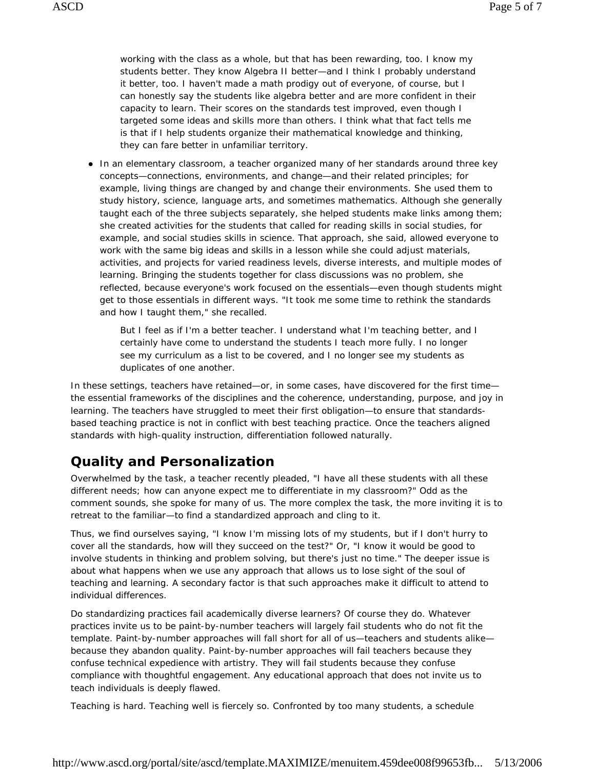working with the class as a whole, but that has been rewarding, too. I know my students better. They know Algebra II better—and I think I probably understand it better, too. I haven't made a math prodigy out of everyone, of course, but I can honestly say the students like algebra better and are more confident in their capacity to learn. Their scores on the standards test improved, even though I targeted some ideas and skills more than others. I think what that fact tells me is that if I help students organize their mathematical knowledge and thinking, they can fare better in unfamiliar territory.

• In an elementary classroom, a teacher organized many of her standards around three key concepts—connections, environments, and change—and their related principles; for example, living things are changed by and change their environments. She used them to study history, science, language arts, and sometimes mathematics. Although she generally taught each of the three subjects separately, she helped students make links among them; she created activities for the students that called for reading skills in social studies, for example, and social studies skills in science. That approach, she said, allowed everyone to work with the same big ideas and skills in a lesson while she could adjust materials, activities, and projects for varied readiness levels, diverse interests, and multiple modes of learning. Bringing the students together for class discussions was no problem, she reflected, because everyone's work focused on the essentials—even though students might get to those essentials in different ways. "It took me some time to rethink the standards and how I taught them," she recalled.

But I feel as if I'm a better teacher. I understand what I'm teaching better, and I certainly have come to understand the students I teach more fully. I no longer see my curriculum as a list to be covered, and I no longer see my students as duplicates of one another.

In these settings, teachers have retained—or, in some cases, have discovered for the first time the essential frameworks of the disciplines and the coherence, understanding, purpose, and joy in learning. The teachers have struggled to meet their first obligation—to ensure that standardsbased teaching practice is not in conflict with best teaching practice. Once the teachers aligned standards with high-quality instruction, differentiation followed naturally.

#### **Quality and Personalization**

Overwhelmed by the task, a teacher recently pleaded, "I have all these students with all these different needs; how can anyone expect me to differentiate in my classroom?" Odd as the comment sounds, she spoke for many of us. The more complex the task, the more inviting it is to retreat to the familiar—to find a standardized approach and cling to it.

Thus, we find ourselves saying, "I know I'm missing lots of my students, but if I don't hurry to cover all the standards, how will they succeed on the test?" Or, "I know it would be good to involve students in thinking and problem solving, but there's just no time." The deeper issue is about what happens when we use any approach that allows us to lose sight of the soul of teaching and learning. A secondary factor is that such approaches make it difficult to attend to individual differences.

Do standardizing practices fail academically diverse learners? Of course they do. Whatever practices invite us to be paint-by-number teachers will largely fail students who do not fit the template. Paint-by-number approaches will fall short for all of us—teachers and students alike because they abandon quality. Paint-by-number approaches will fail teachers because they confuse technical expedience with artistry. They will fail students because they confuse compliance with thoughtful engagement. Any educational approach that does not invite us to teach individuals is deeply flawed.

Teaching is hard. Teaching well is fiercely so. Confronted by too many students, a schedule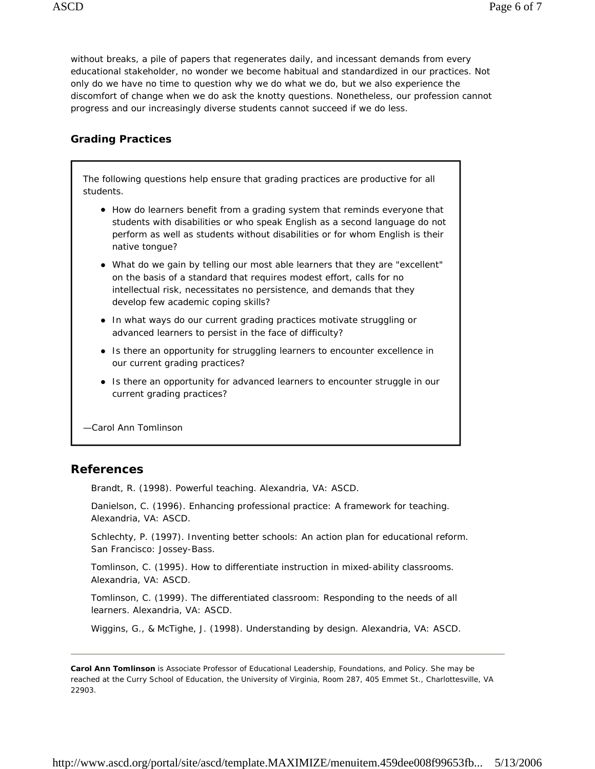without breaks, a pile of papers that regenerates daily, and incessant demands from every educational stakeholder, no wonder we become habitual and standardized in our practices. Not only do we have no time to question why we do what we do, but we also experience the discomfort of change when we do ask the knotty questions. Nonetheless, our profession cannot progress and our increasingly diverse students cannot succeed if we do less.

#### **Grading Practices**

*The following questions help ensure that grading practices are productive for all students.*

- How do learners benefit from a grading system that reminds everyone that students with disabilities or who speak English as a second language do not perform as well as students without disabilities or for whom English is their native tongue?
- What do we gain by telling our most able learners that they are "excellent" on the basis of a standard that requires modest effort, calls for no intellectual risk, necessitates no persistence, and demands that they develop few academic coping skills?
- In what ways do our current grading practices motivate struggling or advanced learners to persist in the face of difficulty?
- Is there an opportunity for struggling learners to encounter excellence in our current grading practices?
- Is there an opportunity for advanced learners to encounter struggle in our current grading practices?

—Carol Ann Tomlinson

#### **References**

Brandt, R. (1998). *Powerful teaching*. Alexandria, VA: ASCD.

Danielson, C. (1996). *Enhancing professional practice: A framework for teaching*. Alexandria, VA: ASCD.

Schlechty, P. (1997). *Inventing better schools: An action plan for educational reform*. San Francisco: Jossey-Bass.

Tomlinson, C. (1995). *How to differentiate instruction in mixed-ability classrooms*. Alexandria, VA: ASCD.

Tomlinson, C. (1999). *The differentiated classroom: Responding to the needs of all learners*. Alexandria, VA: ASCD.

Wiggins, G., & McTighe, J. (1998). *Understanding by design*. Alexandria, VA: ASCD.

**Carol Ann Tomlinson** is Associate Professor of Educational Leadership, Foundations, and Policy. She may be reached at the Curry School of Education, the University of Virginia, Room 287, 405 Emmet St., Charlottesville, VA 22903.